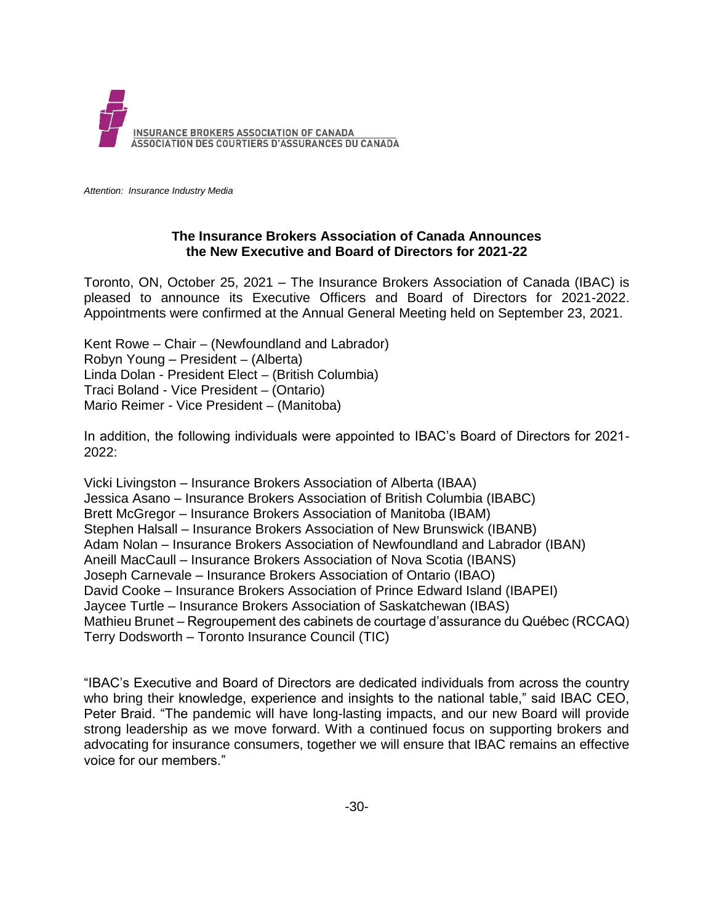

*Attention: Insurance Industry Media*

## **The Insurance Brokers Association of Canada Announces the New Executive and Board of Directors for 2021-22**

Toronto, ON, October 25, 2021 – The Insurance Brokers Association of Canada (IBAC) is pleased to announce its Executive Officers and Board of Directors for 2021-2022. Appointments were confirmed at the Annual General Meeting held on September 23, 2021.

Kent Rowe – Chair – (Newfoundland and Labrador) Robyn Young – President – (Alberta) Linda Dolan - President Elect – (British Columbia) Traci Boland - Vice President – (Ontario) Mario Reimer - Vice President – (Manitoba)

In addition, the following individuals were appointed to IBAC's Board of Directors for 2021- 2022:

Vicki Livingston – Insurance Brokers Association of Alberta (IBAA) Jessica Asano – Insurance Brokers Association of British Columbia (IBABC) Brett McGregor – Insurance Brokers Association of Manitoba (IBAM) Stephen Halsall – Insurance Brokers Association of New Brunswick (IBANB) Adam Nolan – Insurance Brokers Association of Newfoundland and Labrador (IBAN) Aneill MacCaull – Insurance Brokers Association of Nova Scotia (IBANS) Joseph Carnevale – Insurance Brokers Association of Ontario (IBAO) David Cooke – Insurance Brokers Association of Prince Edward Island (IBAPEI) Jaycee Turtle – Insurance Brokers Association of Saskatchewan (IBAS) Mathieu Brunet – Regroupement des cabinets de courtage d'assurance du Québec (RCCAQ) Terry Dodsworth – Toronto Insurance Council (TIC)

"IBAC's Executive and Board of Directors are dedicated individuals from across the country who bring their knowledge, experience and insights to the national table," said IBAC CEO, Peter Braid. "The pandemic will have long-lasting impacts, and our new Board will provide strong leadership as we move forward. With a continued focus on supporting brokers and advocating for insurance consumers, together we will ensure that IBAC remains an effective voice for our members."